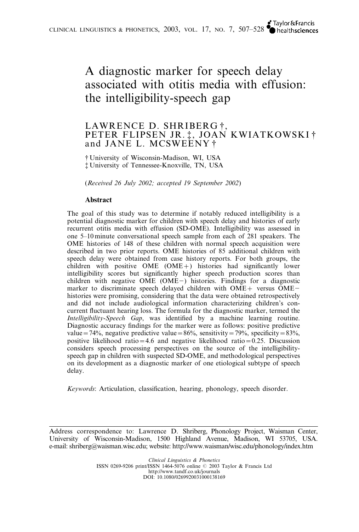# A diagnostic marker for speech delay associated with otitis media with effusion: the intelligibility-speech gap

# LAWRENCE D. SHRIBERG †,<br>PETER FLIPSEN JR. <u>†,</u> JOAN KWIATKOWSKI † and JANE L. MCSWEENY  $\dagger$

{ University of Wisconsin-Madison, WI, USA { University of Tennessee-Knoxville, TN, USA

(Received 26 July 2002; accepted 19 September 2002)

## Abstract

The goal of this study was to determine if notably reduced intelligibility is a potential diagnostic marker for children with speech delay and histories of early recurrent otitis media with effusion (SD-OME). Intelligibility was assessed in one 5–10 minute conversational speech sample from each of 281 speakers. The OME histories of 148 of these children with normal speech acquisition were described in two prior reports. OME histories of 85 additional children with speech delay were obtained from case history reports. For both groups, the children with positive OME  $(OME+)$  histories had significantly lower intelligibility scores but significantly higher speech production scores than children with negative OME (OME $-$ ) histories. Findings for a diagnostic marker to discriminate speech delayed children with  $OME +$  versus  $OME$ histories were promising, considering that the data were obtained retrospectively and did not include audiological information characterizing children's concurrent fluctuant hearing loss. The formula for the diagnostic marker, termed the Intelligibility-Speech Gap, was identified by a machine learning routine. Diagnostic accuracy findings for the marker were as follows: positive predictive value=74%, negative predictive value=86%, sensitivity=79%, specificity=83%, positive likelihood ratio=4.6 and negative likelihood ratio=0.25. Discussion considers speech processing perspectives on the source of the intelligibilityspeech gap in children with suspected SD-OME, and methodological perspectives on its development as a diagnostic marker of one etiological subtype of speech delay.

Keywords: Articulation, classification, hearing, phonology, speech disorder.

Address correspondence to: Lawrence D. Shriberg, Phonology Project, Waisman Center, University of Wisconsin-Madison, 1500 Highland Avenue, Madison, WI 53705, USA. e-mail: shriberg@waisman.wisc.edu; website: http://www.waisman/wisc.edu/phonology/index.htm

> Clinical Linguistics & Phonetics ISSN 0269-9206 print/ISSN 1464-5076 online © 2003 Taylor & Francis Ltd http://www.tandf.co.uk/journals DOI: 10.1080/0269920031000138169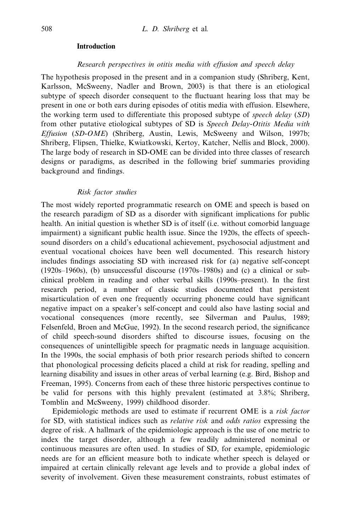### **Introduction**

# Research perspectives in otitis media with effusion and speech delay

The hypothesis proposed in the present and in a companion study (Shriberg, Kent, Karlsson, McSweeny, Nadler and Brown, 2003) is that there is an etiological subtype of speech disorder consequent to the fluctuant hearing loss that may be present in one or both ears during episodes of otitis media with effusion. Elsewhere, the working term used to differentiate this proposed subtype of speech delay (SD) from other putative etiological subtypes of SD is Speech Delay-Otitis Media with Effusion (SD-OME) (Shriberg, Austin, Lewis, McSweeny and Wilson, 1997b; Shriberg, Flipsen, Thielke, Kwiatkowski, Kertoy, Katcher, Nellis and Block, 2000). The large body of research in SD-OME can be divided into three classes of research designs or paradigms, as described in the following brief summaries providing background and findings.

## Risk factor studies

The most widely reported programmatic research on OME and speech is based on the research paradigm of SD as a disorder with significant implications for public health. An initial question is whether SD is of itself (i.e. without comorbid language impairment) a significant public health issue. Since the 1920s, the effects of speechsound disorders on a child's educational achievement, psychosocial adjustment and eventual vocational choices have been well documented. This research history includes findings associating SD with increased risk for (a) negative self-concept (1920s–1960s), (b) unsuccessful discourse (1970s–1980s) and (c) a clinical or subclinical problem in reading and other verbal skills (1990s–present). In the first research period, a number of classic studies documented that persistent misarticulation of even one frequently occurring phoneme could have significant negative impact on a speaker's self-concept and could also have lasting social and vocational consequences (more recently, see Silverman and Paulus, 1989; Felsenfeld, Broen and McGue, 1992). In the second research period, the significance of child speech-sound disorders shifted to discourse issues, focusing on the consequences of unintelligible speech for pragmatic needs in language acquisition. In the 1990s, the social emphasis of both prior research periods shifted to concern that phonological processing deficits placed a child at risk for reading, spelling and learning disability and issues in other areas of verbal learning (e.g. Bird, Bishop and Freeman, 1995). Concerns from each of these three historic perspectives continue to be valid for persons with this highly prevalent (estimated at 3.8%; Shriberg, Tomblin and McSweeny, 1999) childhood disorder.

Epidemiologic methods are used to estimate if recurrent OME is a risk factor for SD, with statistical indices such as relative risk and odds ratios expressing the degree of risk. A hallmark of the epidemiologic approach is the use of one metric to index the target disorder, although a few readily administered nominal or continuous measures are often used. In studies of SD, for example, epidemiologic needs are for an efficient measure both to indicate whether speech is delayed or impaired at certain clinically relevant age levels and to provide a global index of severity of involvement. Given these measurement constraints, robust estimates of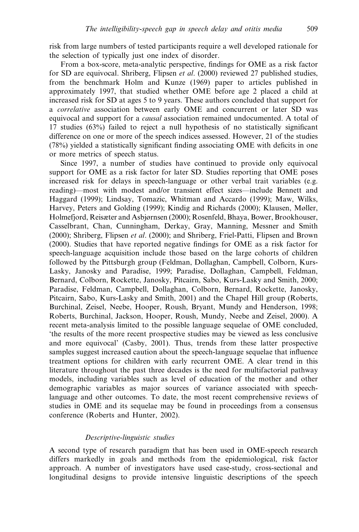risk from large numbers of tested participants require a well developed rationale for the selection of typically just one index of disorder.

From a box-score, meta-analytic perspective, findings for OME as a risk factor for SD are equivocal. Shriberg, Flipsen et al. (2000) reviewed 27 published studies, from the benchmark Holm and Kunze (1969) paper to articles published in approximately 1997, that studied whether OME before age 2 placed a child at increased risk for SD at ages 5 to 9 years. These authors concluded that support for a correlative association between early OME and concurrent or later SD was equivocal and support for a causal association remained undocumented. A total of 17 studies (63%) failed to reject a null hypothesis of no statistically significant difference on one or more of the speech indices assessed. However, 21 of the studies (78%) yielded a statistically significant finding associating OME with deficits in one or more metrics of speech status.

Since 1997, a number of studies have continued to provide only equivocal support for OME as a risk factor for later SD. Studies reporting that OME poses increased risk for delays in speech-language or other verbal trait variables (e.g. reading)—most with modest and/or transient effect sizes—include Bennett and Haggard (1999); Lindsay, Tomazic, Whitman and Accardo (1999); Maw, Wilks, Harvey, Peters and Golding (1999); Kindig and Richards (2000); Klausen, Møller, Holmefjord, Reisæter and Asbjørnsen (2000); Rosenfeld, Bhaya, Bower, Brookhouser, Casselbrant, Chan, Cunningham, Derkay, Gray, Manning, Messner and Smith (2000); Shriberg, Flipsen *et al.* (2000); and Shriberg, Friel-Patti, Flipsen and Brown (2000). Studies that have reported negative findings for OME as a risk factor for speech-language acquisition include those based on the large cohorts of children followed by the Pittsburgh group (Feldman, Dollaghan, Campbell, Colborn, Kurs-Lasky, Janosky and Paradise, 1999; Paradise, Dollaghan, Campbell, Feldman, Bernard, Colborn, Rockette, Janosky, Pitcairn, Sabo, Kurs-Lasky and Smith, 2000; Paradise, Feldman, Campbell, Dollaghan, Colborn, Bernard, Rockette, Janosky, Pitcairn, Sabo, Kurs-Lasky and Smith, 2001) and the Chapel Hill group (Roberts, Burchinal, Zeisel, Neebe, Hooper, Roush, Bryant, Mundy and Henderson, 1998; Roberts, Burchinal, Jackson, Hooper, Roush, Mundy, Neebe and Zeisel, 2000). A recent meta-analysis limited to the possible language sequelae of OME concluded, 'the results of the more recent prospective studies may be viewed as less conclusive and more equivocal' (Casby, 2001). Thus, trends from these latter prospective samples suggest increased caution about the speech-language sequelae that influence treatment options for children with early recurrent OME. A clear trend in this literature throughout the past three decades is the need for multifactorial pathway models, including variables such as level of education of the mother and other demographic variables as major sources of variance associated with speechlanguage and other outcomes. To date, the most recent comprehensive reviews of studies in OME and its sequelae may be found in proceedings from a consensus conference (Roberts and Hunter, 2002).

## Descriptive-linguistic studies

A second type of research paradigm that has been used in OME-speech research differs markedly in goals and methods from the epidemiological, risk factor approach. A number of investigators have used case-study, cross-sectional and longitudinal designs to provide intensive linguistic descriptions of the speech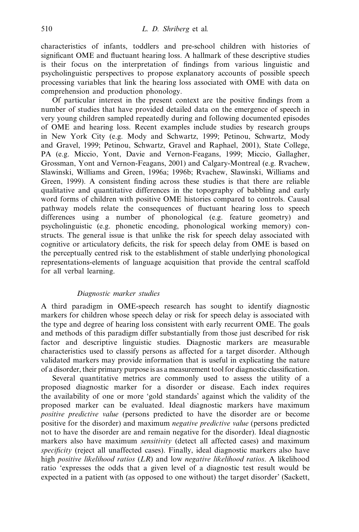characteristics of infants, toddlers and pre-school children with histories of significant OME and fluctuant hearing loss. A hallmark of these descriptive studies is their focus on the interpretation of findings from various linguistic and psycholinguistic perspectives to propose explanatory accounts of possible speech processing variables that link the hearing loss associated with OME with data on comprehension and production phonology.

Of particular interest in the present context are the positive findings from a number of studies that have provided detailed data on the emergence of speech in very young children sampled repeatedly during and following documented episodes of OME and hearing loss. Recent examples include studies by research groups in New York City (e.g. Mody and Schwartz, 1999; Petinou, Schwartz, Mody and Gravel, 1999; Petinou, Schwartz, Gravel and Raphael, 2001), State College, PA (e.g. Miccio, Yont, Davie and Vernon-Feagans, 1999; Miccio, Gallagher, Grossman, Yont and Vernon-Feagans, 2001) and Calgary-Montreal (e.g. Rvachew, Slawinski, Williams and Green, 1996a; 1996b; Rvachew, Slawinski, Williams and Green, 1999). A consistent finding across these studies is that there are reliable qualitative and quantitative differences in the topography of babbling and early word forms of children with positive OME histories compared to controls. Causal pathway models relate the consequences of fluctuant hearing loss to speech differences using a number of phonological (e.g. feature geometry) and psycholinguistic (e.g. phonetic encoding, phonological working memory) constructs. The general issue is that unlike the risk for speech delay associated with cognitive or articulatory deficits, the risk for speech delay from OME is based on the perceptually centred risk to the establishment of stable underlying phonological representations-elements of language acquisition that provide the central scaffold for all verbal learning.

## Diagnostic marker studies

A third paradigm in OME-speech research has sought to identify diagnostic markers for children whose speech delay or risk for speech delay is associated with the type and degree of hearing loss consistent with early recurrent OME. The goals and methods of this paradigm differ substantially from those just described for risk factor and descriptive linguistic studies. Diagnostic markers are measurable characteristics used to classify persons as affected for a target disorder. Although validated markers may provide information that is useful in explicating the nature of a disorder, their primary purpose is as a measurement tool for diagnostic classification.

Several quantitative metrics are commonly used to assess the utility of a proposed diagnostic marker for a disorder or disease. Each index requires the availability of one or more 'gold standards' against which the validity of the proposed marker can be evaluated. Ideal diagnostic markers have maximum positive predictive value (persons predicted to have the disorder are or become positive for the disorder) and maximum negative predictive value (persons predicted not to have the disorder are and remain negative for the disorder). Ideal diagnostic markers also have maximum *sensitivity* (detect all affected cases) and maximum specificity (reject all unaffected cases). Finally, ideal diagnostic markers also have high positive likelihood ratios (LR) and low negative likelihood ratios. A likelihood ratio 'expresses the odds that a given level of a diagnostic test result would be expected in a patient with (as opposed to one without) the target disorder' (Sackett,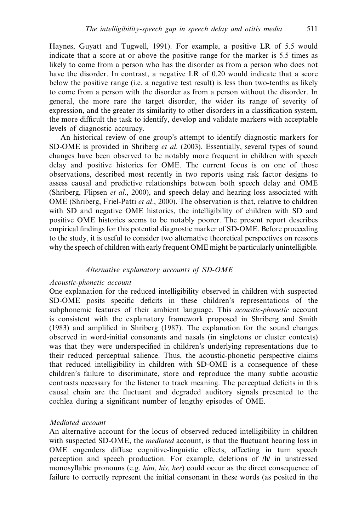Haynes, Guyatt and Tugwell, 1991). For example, a positive LR of 5.5 would indicate that a score at or above the positive range for the marker is 5.5 times as likely to come from a person who has the disorder as from a person who does not have the disorder. In contrast, a negative LR of 0.20 would indicate that a score below the positive range (i.e. a negative test result) is less than two-tenths as likely to come from a person with the disorder as from a person without the disorder. In general, the more rare the target disorder, the wider its range of severity of expression, and the greater its similarity to other disorders in a classification system, the more difficult the task to identify, develop and validate markers with acceptable levels of diagnostic accuracy.

An historical review of one group's attempt to identify diagnostic markers for SD-OME is provided in Shriberg et al. (2003). Essentially, several types of sound changes have been observed to be notably more frequent in children with speech delay and positive histories for OME. The current focus is on one of those observations, described most recently in two reports using risk factor designs to assess causal and predictive relationships between both speech delay and OME (Shriberg, Flipsen *et al.*, 2000), and speech delay and hearing loss associated with OME (Shriberg, Friel-Patti et al., 2000). The observation is that, relative to children with SD and negative OME histories, the intelligibility of children with SD and positive OME histories seems to be notably poorer. The present report describes empirical findings for this potential diagnostic marker of SD-OME. Before proceeding to the study, it is useful to consider two alternative theoretical perspectives on reasons why the speech of children with early frequent OME might be particularly unintelligible.

## Alternative explanatory accounts of SD-OME

## Acoustic-phonetic account

One explanation for the reduced intelligibility observed in children with suspected SD-OME posits specific deficits in these children's representations of the subphonemic features of their ambient language. This acoustic-phonetic account is consistent with the explanatory framework proposed in Shriberg and Smith (1983) and amplified in Shriberg (1987). The explanation for the sound changes observed in word-initial consonants and nasals (in singletons or cluster contexts) was that they were underspecified in children's underlying representations due to their reduced perceptual salience. Thus, the acoustic-phonetic perspective claims that reduced intelligibility in children with SD-OME is a consequence of these children's failure to discriminate, store and reproduce the many subtle acoustic contrasts necessary for the listener to track meaning. The perceptual deficits in this causal chain are the fluctuant and degraded auditory signals presented to the cochlea during a significant number of lengthy episodes of OME.

# Mediated account

An alternative account for the locus of observed reduced intelligibility in children with suspected SD-OME, the *mediated* account, is that the fluctuant hearing loss in OME engenders diffuse cognitive-linguistic effects, affecting in turn speech perception and speech production. For example, deletions of /h/ in unstressed monosyllabic pronouns (e.g. *him, his, her*) could occur as the direct consequence of failure to correctly represent the initial consonant in these words (as posited in the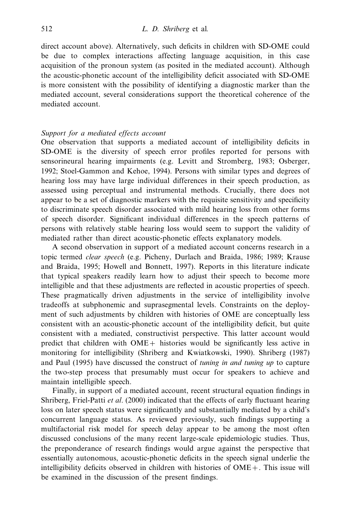direct account above). Alternatively, such deficits in children with SD-OME could be due to complex interactions affecting language acquisition, in this case acquisition of the pronoun system (as posited in the mediated account). Although the acoustic-phonetic account of the intelligibility deficit associated with SD-OME is more consistent with the possibility of identifying a diagnostic marker than the mediated account, several considerations support the theoretical coherence of the mediated account.

# Support for a mediated effects account

One observation that supports a mediated account of intelligibility deficits in SD-OME is the diversity of speech error profiles reported for persons with sensorineural hearing impairments (e.g. Levitt and Stromberg, 1983; Osberger, 1992; Stoel-Gammon and Kehoe, 1994). Persons with similar types and degrees of hearing loss may have large individual differences in their speech production, as assessed using perceptual and instrumental methods. Crucially, there does not appear to be a set of diagnostic markers with the requisite sensitivity and specificity to discriminate speech disorder associated with mild hearing loss from other forms of speech disorder. Significant individual differences in the speech patterns of persons with relatively stable hearing loss would seem to support the validity of mediated rather than direct acoustic-phonetic effects explanatory models.

A second observation in support of a mediated account concerns research in a topic termed *clear speech* (e.g. Picheny, Durlach and Braida, 1986; 1989; Krause and Braida, 1995; Howell and Bonnett, 1997). Reports in this literature indicate that typical speakers readily learn how to adjust their speech to become more intelligible and that these adjustments are reflected in acoustic properties of speech. These pragmatically driven adjustments in the service of intelligibility involve tradeoffs at subphonemic and suprasegmental levels. Constraints on the deployment of such adjustments by children with histories of OME are conceptually less consistent with an acoustic-phonetic account of the intelligibility deficit, but quite consistent with a mediated, constructivist perspective. This latter account would predict that children with  $OME +$  histories would be significantly less active in monitoring for intelligibility (Shriberg and Kwiatkowski, 1990). Shriberg (1987) and Paul (1995) have discussed the construct of tuning in and tuning up to capture the two-step process that presumably must occur for speakers to achieve and maintain intelligible speech.

Finally, in support of a mediated account, recent structural equation findings in Shriberg, Friel-Patti et al. (2000) indicated that the effects of early fluctuant hearing loss on later speech status were significantly and substantially mediated by a child's concurrent language status. As reviewed previously, such findings supporting a multifactorial risk model for speech delay appear to be among the most often discussed conclusions of the many recent large-scale epidemiologic studies. Thus, the preponderance of research findings would argue against the perspective that essentially autonomous, acoustic-phonetic deficits in the speech signal underlie the intelligibility deficits observed in children with histories of  $\text{OME}+$ . This issue will be examined in the discussion of the present findings.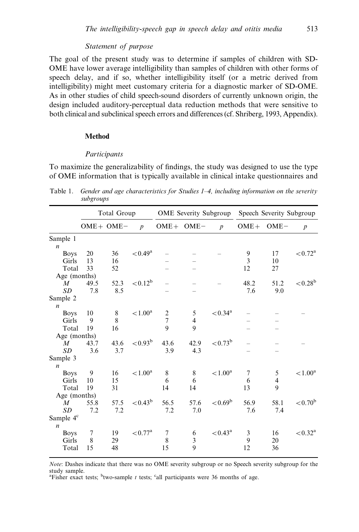## Statement of purpose

The goal of the present study was to determine if samples of children with SD-OME have lower average intelligibility than samples of children with other forms of speech delay, and if so, whether intelligibility itself (or a metric derived from intelligibility) might meet customary criteria for a diagnostic marker of SD-OME. As in other studies of child speech-sound disorders of currently unknown origin, the design included auditory-perceptual data reduction methods that were sensitive to both clinical and subclinical speech errors and differences (cf. Shriberg, 1993, Appendix).

#### Method

#### **Participants**

To maximize the generalizability of findings, the study was designed to use the type of OME information that is typically available in clinical intake questionnaires and

Table 1. Gender and age characteristics for Studies 1–4, including information on the severity subgroups

|                       | Total Group |               |                   |               |               |                  | <b>OME Severity Subgroup</b> Speech Severity Subgroup |        |                  |
|-----------------------|-------------|---------------|-------------------|---------------|---------------|------------------|-------------------------------------------------------|--------|------------------|
|                       |             | $OME + OME -$ | $\boldsymbol{p}$  |               | $OME + OME -$ | $\boldsymbol{p}$ | $OME +$                                               | $OME-$ | $\boldsymbol{p}$ |
| Sample 1              |             |               |                   |               |               |                  |                                                       |        |                  |
| $\boldsymbol{n}$      |             |               |                   |               |               |                  |                                                       |        |                  |
| <b>Boys</b>           | 20          | 36            | $< 0.49^{\rm a}$  |               |               |                  | 9                                                     | 17     | $< 0.72^{\rm a}$ |
| Girls                 | 13          | 16            |                   |               |               |                  | 3                                                     | 10     |                  |
| Total                 | 33          | 52            |                   |               |               |                  | 12                                                    | 27     |                  |
| Age (months)          |             |               |                   |               |               |                  |                                                       |        |                  |
| $\boldsymbol{M}$      | 49.5        | 52.3          | $< 0.12^b$        |               |               |                  | 48.2                                                  | 51.2   | $< 0.28^{\rm b}$ |
| SD                    | 7.8         | 8.5           |                   |               |               |                  | 7.6                                                   | 9.0    |                  |
| Sample 2              |             |               |                   |               |               |                  |                                                       |        |                  |
| $\boldsymbol{n}$      |             |               |                   |               |               |                  |                                                       |        |                  |
| <b>Boys</b>           | 10          | 8             | $< 1.00^{\rm a}$  | $\frac{2}{7}$ | 5             | $< 0.34^{\rm a}$ |                                                       |        |                  |
| Girls                 | 9           | $\mathbf{8}$  |                   |               | 4             |                  |                                                       |        |                  |
| Total                 | 19          | 16            |                   | 9             | 9             |                  |                                                       |        |                  |
| Age (months)          |             |               |                   |               |               |                  |                                                       |        |                  |
| $\boldsymbol{M}$      | 43.7        | 43.6          | ${<}0.93^{\rm b}$ | 43.6          | 42.9          | $< 0.73^{\rm b}$ |                                                       |        |                  |
| SD                    | 3.6         | 3.7           |                   | 3.9           | 4.3           |                  |                                                       |        |                  |
| Sample 3              |             |               |                   |               |               |                  |                                                       |        |                  |
| $\boldsymbol{n}$      |             |               |                   |               |               |                  |                                                       |        |                  |
| <b>Boys</b>           | 9           | 16            | $\rm < 1.00^a$    | 8             | 8             | $< 1.00^{\rm a}$ | 7                                                     | 5      | $< 1.00^a$       |
| Girls                 | 10          | 15            |                   | 6             | 6             |                  | 6                                                     | 4      |                  |
| Total                 | 19          | 31            |                   | 14            | 14            |                  | 13                                                    | 9      |                  |
| Age (months)          |             |               |                   |               |               |                  |                                                       |        |                  |
| $\boldsymbol{M}$      | 55.8        | 57.5          | ${<}0.43^{\rm b}$ | 56.5          | 57.6          | $< 0.69^{\rm b}$ | 56.9                                                  | 58.1   | $< 0.70^{\rm b}$ |
| SD                    | 7.2         | 7.2           |                   | 7.2           | 7.0           |                  | 7.6                                                   | 7.4    |                  |
| Sample 4 <sup>c</sup> |             |               |                   |               |               |                  |                                                       |        |                  |
| $\boldsymbol{n}$      |             |               |                   |               |               |                  |                                                       |        |                  |
| <b>Boys</b>           | 7           | 19            | ${<}0.77^{\rm a}$ | 7             | 6             | $< 0.43^{\rm a}$ | 3                                                     | 16     | $< 0.32^{\rm a}$ |
| Girls                 | 8           | 29            |                   | 8             | 3             |                  | 9                                                     | 20     |                  |
| Total                 | 15          | 48            |                   | 15            | 9             |                  | 12                                                    | 36     |                  |

Note: Dashes indicate that there was no OME severity subgroup or no Speech severity subgroup for the study sample.

<sup>a</sup>Fisher exact tests; <sup>b</sup>two-sample t tests; <sup>c</sup>all participants were 36 months of age.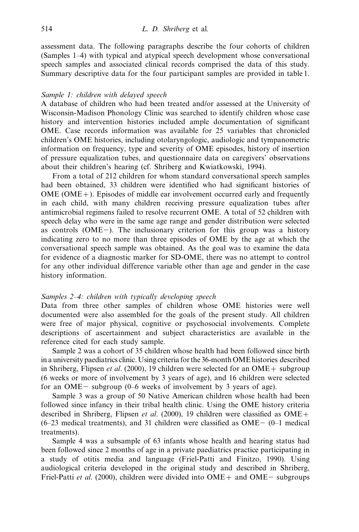assessment data. The following paragraphs describe the four cohorts of children (Samples 1–4) with typical and atypical speech development whose conversational speech samples and associated clinical records comprised the data of this study. Summary descriptive data for the four participant samples are provided in table 1.

#### Sample 1: children with delayed speech

A database of children who had been treated and/or assessed at the University of Wisconsin-Madison Phonology Clinic was searched to identify children whose case history and intervention histories included ample documentation of significant OME. Case records information was available for 25 variables that chronicled children's OME histories, including otolaryngologic, audiologic and tympanometric information on frequency, type and severity of OME episodes, history of insertion of pressure equalization tubes, and questionnaire data on caregivers' observations about their children's hearing (cf. Shriberg and Kwiatkowski, 1994).

From a total of 212 children for whom standard conversational speech samples had been obtained, 33 children were identified who had significant histories of  $\overline{OME}$  ( $\overline{OME}$  +). Episodes of middle ear involvement occurred early and frequently in each child, with many children receiving pressure equalization tubes after antimicrobial regimens failed to resolve recurrent OME. A total of 52 children with speech delay who were in the same age range and gender distribution were selected as controls  $(OME-)$ . The inclusionary criterion for this group was a history indicating zero to no more than three episodes of OME by the age at which the conversational speech sample was obtained. As the goal was to examine the data for evidence of a diagnostic marker for SD-OME, there was no attempt to control for any other individual difference variable other than age and gender in the case history information.

## Samples 2–4: children with typically developing speech

Data from three other samples of children whose OME histories were well documented were also assembled for the goals of the present study. All children were free of major physical, cognitive or psychosocial involvements. Complete descriptions of ascertainment and subject characteristics are available in the reference cited for each study sample.

Sample 2 was a cohort of 35 children whose health had been followed since birth in a university paediatrics clinic. Using criteria for the 36-month OME histories described in Shriberg, Flipsen *et al.* (2000), 19 children were selected for an OME + subgroup (6 weeks or more of involvement by 3 years of age), and 16 children were selected for an OME – subgroup (0–6 weeks of involvement by 3 years of age).

Sample 3 was a group of 50 Native American children whose health had been followed since infancy in their tribal health clinic. Using the OME history criteria described in Shriberg, Flipsen *et al.* (2000), 19 children were classified as OME+  $(6-23 \text{ medical treatments})$ , and 31 children were classified as OME $-$  (0–1 medical treatments).

Sample 4 was a subsample of 63 infants whose health and hearing status had been followed since 2 months of age in a private paediatrics practice participating in a study of otitis media and language (Friel-Patti and Finitzo, 1990). Using audiological criteria developed in the original study and described in Shriberg, Friel-Patti et al. (2000), children were divided into OME + and OME - subgroups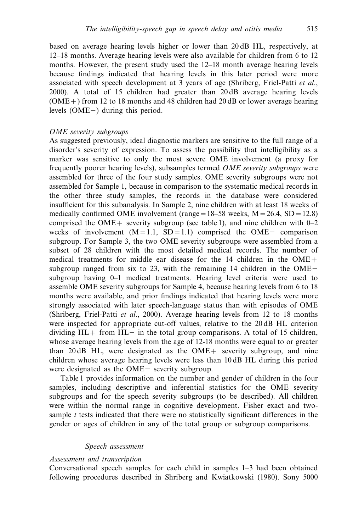based on average hearing levels higher or lower than 20 dB HL, respectively, at 12–18 months. Average hearing levels were also available for children from 6 to 12 months. However, the present study used the 12–18 month average hearing levels because findings indicated that hearing levels in this later period were more associated with speech development at 3 years of age (Shriberg, Friel-Patti et al., 2000). A total of 15 children had greater than 20 dB average hearing levels  $(OME+)$  from 12 to 18 months and 48 children had 20 dB or lower average hearing levels  $(OME-)$  during this period.

## OME severity subgroups

As suggested previously, ideal diagnostic markers are sensitive to the full range of a disorder's severity of expression. To assess the possibility that intelligibility as a marker was sensitive to only the most severe OME involvement (a proxy for frequently poorer hearing levels), subsamples termed OME severity subgroups were assembled for three of the four study samples. OME severity subgroups were not assembled for Sample 1, because in comparison to the systematic medical records in the other three study samples, the records in the database were considered insufficient for this subanalysis. In Sample 2, nine children with at least 18 weeks of medically confirmed OME involvement (range =  $18-58$  weeks, M =  $26.4$ , SD =  $12.8$ ) comprised the OME+ severity subgroup (see table 1), and nine children with  $0-2$ weeks of involvement  $(M=1.1, SD=1.1)$  comprised the OME- comparison subgroup. For Sample 3, the two OME severity subgroups were assembled from a subset of 28 children with the most detailed medical records. The number of medical treatments for middle ear disease for the  $14$  children in the OME+ subgroup ranged from six to 23, with the remaining 14 children in the  $OME$ subgroup having 0–1 medical treatments. Hearing level criteria were used to assemble OME severity subgroups for Sample 4, because hearing levels from 6 to 18 months were available, and prior findings indicated that hearing levels were more strongly associated with later speech-language status than with episodes of OME (Shriberg, Friel-Patti et al., 2000). Average hearing levels from 12 to 18 months were inspected for appropriate cut-off values, relative to the 20 dB HL criterion dividing  $HL+$  from  $HL-$  in the total group comparisons. A total of 15 children, whose average hearing levels from the age of 12-18 months were equal to or greater than  $20 \text{ dB}$  HL, were designated as the OME $+$  severity subgroup, and nine children whose average hearing levels were less than 10 dB HL during this period were designated as the  $OME$  - severity subgroup.

Table 1 provides information on the number and gender of children in the four samples, including descriptive and inferential statistics for the OME severity subgroups and for the speech severity subgroups (to be described). All children were within the normal range in cognitive development. Fisher exact and twosample  $t$  tests indicated that there were no statistically significant differences in the gender or ages of children in any of the total group or subgroup comparisons.

## Speech assessment

### Assessment and transcription

Conversational speech samples for each child in samples 1–3 had been obtained following procedures described in Shriberg and Kwiatkowski (1980). Sony 5000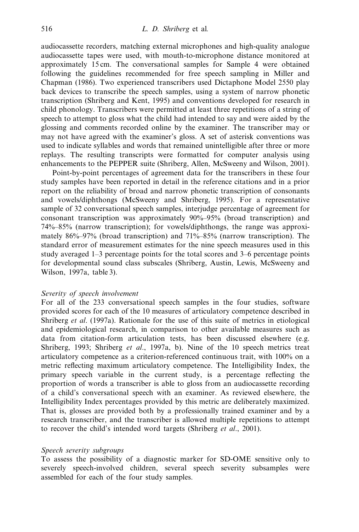audiocassette recorders, matching external microphones and high-quality analogue audiocassette tapes were used, with mouth-to-microphone distance monitored at approximately 15 cm. The conversational samples for Sample 4 were obtained following the guidelines recommended for free speech sampling in Miller and Chapman (1986). Two experienced transcribers used Dictaphone Model 2550 play back devices to transcribe the speech samples, using a system of narrow phonetic transcription (Shriberg and Kent, 1995) and conventions developed for research in child phonology. Transcribers were permitted at least three repetitions of a string of speech to attempt to gloss what the child had intended to say and were aided by the glossing and comments recorded online by the examiner. The transcriber may or may not have agreed with the examiner's gloss. A set of asterisk conventions was used to indicate syllables and words that remained unintelligible after three or more replays. The resulting transcripts were formatted for computer analysis using enhancements to the PEPPER suite (Shriberg, Allen, McSweeny and Wilson, 2001).

Point-by-point percentages of agreement data for the transcribers in these four study samples have been reported in detail in the reference citations and in a prior report on the reliability of broad and narrow phonetic transcription of consonants and vowels/diphthongs (McSweeny and Shriberg, 1995). For a representative sample of 32 conversational speech samples, interjudge percentage of agreement for consonant transcription was approximately 90%–95% (broad transcription) and 74%–85% (narrow transcription); for vowels/diphthongs, the range was approximately 86%–97% (broad transcription) and 71%–85% (narrow transcription). The standard error of measurement estimates for the nine speech measures used in this study averaged 1–3 percentage points for the total scores and 3–6 percentage points for developmental sound class subscales (Shriberg, Austin, Lewis, McSweeny and Wilson, 1997a, table 3).

#### Severity of speech involvement

For all of the 233 conversational speech samples in the four studies, software provided scores for each of the 10 measures of articulatory competence described in Shriberg et al. (1997a). Rationale for the use of this suite of metrics in etiological and epidemiological research, in comparison to other available measures such as data from citation-form articulation tests, has been discussed elsewhere (e.g. Shriberg, 1993; Shriberg et al., 1997a, b). Nine of the 10 speech metrics treat articulatory competence as a criterion-referenced continuous trait, with 100% on a metric reflecting maximum articulatory competence. The Intelligibility Index, the primary speech variable in the current study, is a percentage reflecting the proportion of words a transcriber is able to gloss from an audiocassette recording of a child's conversational speech with an examiner. As reviewed elsewhere, the Intelligibility Index percentages provided by this metric are deliberately maximized. That is, glosses are provided both by a professionally trained examiner and by a research transcriber, and the transcriber is allowed multiple repetitions to attempt to recover the child's intended word targets (Shriberg et al., 2001).

#### Speech severity subgroups

To assess the possibility of a diagnostic marker for SD-OME sensitive only to severely speech-involved children, several speech severity subsamples were assembled for each of the four study samples.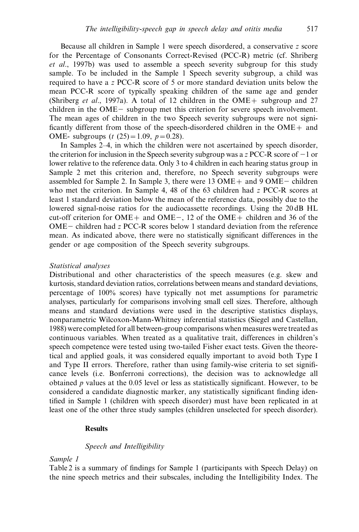Because all children in Sample 1 were speech disordered, a conservative z score for the Percentage of Consonants Correct-Revised (PCC-R) metric (cf. Shriberg et al., 1997b) was used to assemble a speech severity subgroup for this study sample. To be included in the Sample 1 Speech severity subgroup, a child was required to have a z PCC-R score of 5 or more standard deviation units below the mean PCC-R score of typically speaking children of the same age and gender (Shriberg *et al.*, 1997a). A total of 12 children in the OME + subgroup and 27 children in the OME- subgroup met this criterion for severe speech involvement. The mean ages of children in the two Speech severity subgroups were not significantly different from those of the speech-disordered children in the  $OME+$  and OME- subgroups (t  $(25)=1.09$ ,  $p=0.28$ ).

In Samples 2–4, in which the children were not ascertained by speech disorder, the criterion for inclusion in the Speech severity subgroup was a z PCC-R score of  $-1$  or lower relative to the reference data. Only 3 to 4 children in each hearing status group in Sample 2 met this criterion and, therefore, no Speech severity subgroups were assembled for Sample 2. In Sample 3, there were  $13 \text{ OME} +$  and  $9 \text{ OME} -$  children who met the criterion. In Sample 4, 48 of the 63 children had z PCC-R scores at least 1 standard deviation below the mean of the reference data, possibly due to the lowered signal-noise ratios for the audiocassette recordings. Using the 20 dB HL cut-off criterion for OME + and OME –, 12 of the OME + children and 36 of the OME $-$  children had z PCC-R scores below 1 standard deviation from the reference mean. As indicated above, there were no statistically significant differences in the gender or age composition of the Speech severity subgroups.

### Statistical analyses

Distributional and other characteristics of the speech measures (e.g. skew and kurtosis, standard deviation ratios, correlations between means and standard deviations, percentage of 100% scores) have typically not met assumptions for parametric analyses, particularly for comparisons involving small cell sizes. Therefore, although means and standard deviations were used in the descriptive statistics displays, nonparametric Wilcoxon-Mann-Whitney inferential statistics (Siegel and Castellan, 1988) were completed for all between-group comparisons when measures were treated as continuous variables. When treated as a qualitative trait, differences in children's speech competence were tested using two-tailed Fisher exact tests. Given the theoretical and applied goals, it was considered equally important to avoid both Type I and Type II errors. Therefore, rather than using family-wise criteria to set significance levels (i.e. Bonferroni corrections), the decision was to acknowledge all obtained  $p$  values at the 0.05 level or less as statistically significant. However, to be considered a candidate diagnostic marker, any statistically significant finding identified in Sample 1 (children with speech disorder) must have been replicated in at least one of the other three study samples (children unselected for speech disorder).

## **Results**

#### Speech and Intelligibility

## Sample 1

Table 2 is a summary of findings for Sample 1 (participants with Speech Delay) on the nine speech metrics and their subscales, including the Intelligibility Index. The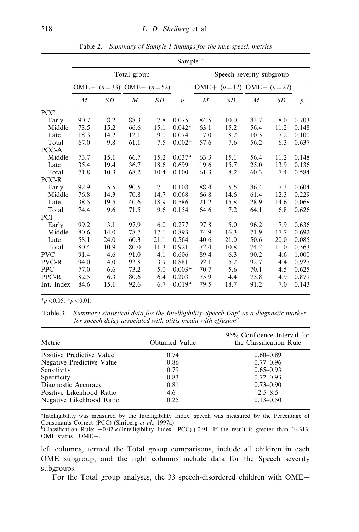|              | Sample 1         |                             |      |      |                          |      |                             |      |           |                  |
|--------------|------------------|-----------------------------|------|------|--------------------------|------|-----------------------------|------|-----------|------------------|
|              | Total group      |                             |      |      | Speech severity subgroup |      |                             |      |           |                  |
|              |                  | OME+ $(n=33)$ OME- $(n=52)$ |      |      |                          |      | OME+ $(n=12)$ OME- $(n=27)$ |      |           |                  |
|              | $\boldsymbol{M}$ | SD                          | M    | SD   | $\boldsymbol{p}$         | M    | <b>SD</b>                   | M    | <b>SD</b> | $\boldsymbol{p}$ |
| <b>PCC</b>   |                  |                             |      |      |                          |      |                             |      |           |                  |
| Early        | 90.7             | 8.2                         | 88.3 | 7.8  | 0.075                    | 84.5 | 10.0                        | 83.7 | 8.0       | 0.703            |
| Middle       | 73.5             | 15.2                        | 66.6 | 15.1 | $0.042*$                 | 63.1 | 15.2                        | 56.4 | 11.2      | 0.148            |
| Late         | 18.3             | 14.2                        | 12.1 | 9.0  | 0.074                    | 7.0  | 8.2                         | 10.5 | 7.2       | 0.100            |
| Total        | 67.0             | 9.8                         | 61.1 | 7.5  | $0.002\dagger$           | 57.6 | 7.6                         | 56.2 | 6.3       | 0.637            |
| PCC-A        |                  |                             |      |      |                          |      |                             |      |           |                  |
| Middle       | 73.7             | 15.1                        | 66.7 | 15.2 | $0.037*$                 | 63.3 | 15.1                        | 56.4 | 11.2      | 0.148            |
| Late         | 35.4             | 19.4                        | 36.7 | 18.6 | 0.699                    | 19.6 | 15.7                        | 25.0 | 13.9      | 0.136            |
| Total        | 71.8             | 10.3                        | 68.2 | 10.4 | 0.100                    | 61.3 | 8.2                         | 60.3 | 7.4       | 0.584            |
| PCC-R        |                  |                             |      |      |                          |      |                             |      |           |                  |
| Early        | 92.9             | 5.5                         | 90.5 | 7.1  | 0.108                    | 88.4 | 5.5                         | 86.4 | 7.3       | 0.604            |
| Middle       | 76.8             | 14.3                        | 70.8 | 14.7 | 0.068                    | 66.8 | 14.6                        | 61.4 | 12.3      | 0.229            |
| Late         | 38.5             | 19.5                        | 40.6 | 18.9 | 0.586                    | 21.2 | 15.8                        | 28.9 | 14.6      | 0.068            |
| Total        | 74.4             | 9.6                         | 71.5 | 9.6  | 0.154                    | 64.6 | 7.2                         | 64.1 | 6.8       | 0.626            |
| <b>PCI</b>   |                  |                             |      |      |                          |      |                             |      |           |                  |
| Early        | 99.2             | 3.1                         | 97.9 | 6.0  | 0.277                    | 97.8 | 5.0                         | 96.2 | 7.9       | 0.636            |
| Middle       | 80.6             | 14.0                        | 78.7 | 17.1 | 0.893                    | 74.9 | 16.3                        | 71.9 | 17.7      | 0.692            |
| Late         | 58.1             | 24.0                        | 60.3 | 21.1 | 0.564                    | 40.6 | 21.0                        | 50.6 | 20.0      | 0.085            |
| Total        | 80.4             | 10.9                        | 80.0 | 11.3 | 0.921                    | 72.4 | 10.8                        | 74.2 | 11.0      | 0.563            |
| <b>PVC</b>   | 91.4             | 4.6                         | 91.0 | 4.1  | 0.606                    | 89.4 | 6.3                         | 90.2 | 4.6       | 1.000            |
| <b>PVC-R</b> | 94.0             | 4.0                         | 93.8 | 3.9  | 0.881                    | 92.1 | 5.2                         | 92.7 | 4.4       | 0.927            |
| <b>PPC</b>   | 77.0             | 6.6                         | 73.2 | 5.0  | $0.003\dagger$           | 70.7 | 5.6                         | 70.1 | 4.5       | 0.625            |
| PPC-R        | 82.5             | 6.3                         | 80.6 | 6.4  | 0.203                    | 75.9 | 4.4                         | 75.8 | 4.9       | 0.879            |
| Int. Index   | 84.6             | 15.1                        | 92.6 | 6.7  | $0.019*$                 | 79.5 | 18.7                        | 91.2 | 7.0       | 0.143            |

Table 2. Summary of Sample 1 findings for the nine speech metrics

 $*_{p}<0.05;$   $\dagger p<0.01$ .

Table 3. Summary statistical data for the Intelligibility-Speech Gap<sup>a</sup> as a diagnostic marker for speech delay associated with otitis media with effusion $\mathbf{b}$ 

| Metric                    | Obtained Value | 95% Confidence Interval for<br>the Classification Rule |  |  |  |
|---------------------------|----------------|--------------------------------------------------------|--|--|--|
| Positive Predictive Value | 0.74           | $0.60 - 0.89$                                          |  |  |  |
| Negative Predictive Value | 0.86           | $0.77 - 0.96$                                          |  |  |  |
| Sensitivity               | 0.79           | $0.65 - 0.93$                                          |  |  |  |
| Specificity               | 0.83           | $0.72 - 0.93$                                          |  |  |  |
| Diagnostic Accuracy       | 0.81           | $0.73 - 0.90$                                          |  |  |  |
| Positive Likelihood Ratio | 4.6            | $2.5 - 8.5$                                            |  |  |  |
| Negative Likelihood Ratio | 0.25           | $0.13 - 0.50$                                          |  |  |  |

<sup>a</sup>Intelligibility was measured by the Intelligibility Index; speech was measured by the Percentage of Consonants Correct (PCC) (Shriberg *et al.*, 1997a).<br><sup>b</sup>Classification Rule:  $-0.02 \times$ (Intelligibility Index—PCC)+0.91. If the result is greater than 0.4313,

OME status= $OME +$ .

left columns, termed the Total group comparisons, include all children in each OME subgroup, and the right columns include data for the Speech severity subgroups.

For the Total group analyses, the 33 speech-disordered children with  $OME +$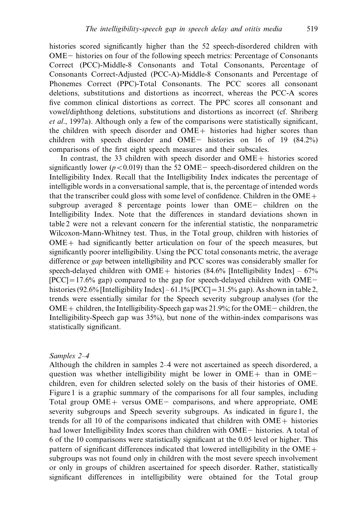histories scored significantly higher than the 52 speech-disordered children with OME – histories on four of the following speech metrics: Percentage of Consonants Correct (PCC)-Middle-8 Consonants and Total Consonants, Percentage of Consonants Correct-Adjusted (PCC-A)-Middle-8 Consonants and Percentage of Phonemes Correct (PPC)-Total Consonants. The PCC scores all consonant deletions, substitutions and distortions as incorrect, whereas the PCC-A scores five common clinical distortions as correct. The PPC scores all consonant and vowel/diphthong deletions, substitutions and distortions as incorrect (cf. Shriberg et al., 1997a). Although only a few of the comparisons were statistically significant, the children with speech disorder and  $OME+$  histories had higher scores than children with speech disorder and OME $-$  histories on 16 of 19 (84.2%) comparisons of the first eight speech measures and their subscales.

In contrast, the 33 children with speech disorder and  $OME +$  histories scored significantly lower ( $p<0.019$ ) than the 52 OME- speech-disordered children on the Intelligibility Index. Recall that the Intelligibility Index indicates the percentage of intelligible words in a conversational sample, that is, the percentage of intended words that the transcriber could gloss with some level of confidence. Children in the OME $+$ subgroup averaged 8 percentage points lower than  $OME-$  children on the Intelligibility Index. Note that the differences in standard deviations shown in table 2 were not a relevant concern for the inferential statistic, the nonparametric Wilcoxon-Mann-Whitney test. Thus, in the Total group, children with histories of  $OME<sub>+</sub>$  had significantly better articulation on four of the speech measures, but significantly poorer intelligibility. Using the PCC total consonants metric, the average difference or gap between intelligibility and PCC scores was considerably smaller for speech-delayed children with OME + histories (84.6% [Intelligibility Index] – 67%  $[PCC] = 17.6\%$  gap) compared to the gap for speech-delayed children with OMEhistories (92.6% [Intelligibility Index] – 61.1% [PCC] = 31.5% gap). As shown in table 2, trends were essentially similar for the Speech severity subgroup analyses (for the  $\text{OME}$  + children, the Intelligibility-Speech gap was 21.9%; for the OME – children, the Intelligibility-Speech gap was 35%), but none of the within-index comparisons was statistically significant.

## Samples 2–4

Although the children in samples 2–4 were not ascertained as speech disordered, a question was whether intelligibility might be lower in  $OME+$  than in  $OME$ children, even for children selected solely on the basis of their histories of OME. Figure 1 is a graphic summary of the comparisons for all four samples, including Total group OME+ versus OME- comparisons, and where appropriate, OME severity subgroups and Speech severity subgroups. As indicated in figure 1, the trends for all 10 of the comparisons indicated that children with  $OME +$  histories had lower Intelligibility Index scores than children with OME – histories. A total of 6 of the 10 comparisons were statistically significant at the 0.05 level or higher. This pattern of significant differences indicated that lowered intelligibility in the  $OME+$ subgroups was not found only in children with the most severe speech involvement or only in groups of children ascertained for speech disorder. Rather, statistically significant differences in intelligibility were obtained for the Total group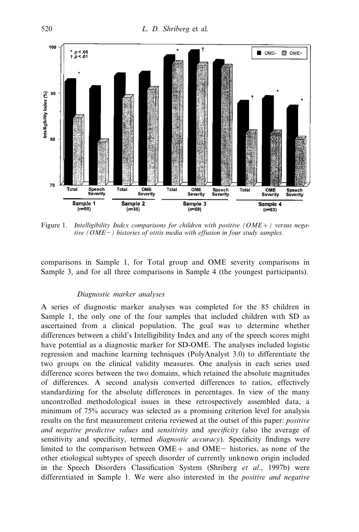

Figure 1. Intelligibility Index comparisons for children with positive  $(OME+$ ) versus negative ( $OME-$ ) histories of otitis media with effusion in four study samples.

comparisons in Sample 1, for Total group and OME severity comparisons in Sample 3, and for all three comparisons in Sample 4 (the youngest participants).

## Diagnostic marker analyses

A series of diagnostic marker analyses was completed for the 85 children in Sample 1, the only one of the four samples that included children with SD as ascertained from a clinical population. The goal was to determine whether differences between a child's Intelligibility Index and any of the speech scores might have potential as a diagnostic marker for SD-OME. The analyses included logistic regression and machine learning techniques (PolyAnalyst 3.0) to differentiate the two groups on the clinical validity measures. One analysis in each series used difference scores between the two domains, which retained the absolute magnitudes of differences. A second analysis converted differences to ratios, effectively standardizing for the absolute differences in percentages. In view of the many uncontrolled methodological issues in these retrospectively assembled data, a minimum of 75% accuracy was selected as a promising criterion level for analysis results on the first measurement criteria reviewed at the outset of this paper: positive and negative predictive values and sensitivity and specificity (also the average of sensitivity and specificity, termed *diagnostic accuracy*). Specificity findings were limited to the comparison between  $OME+$  and  $OME-$  histories, as none of the other etiological subtypes of speech disorder of currently unknown origin included in the Speech Disorders Classification System (Shriberg et al., 1997b) were differentiated in Sample 1. We were also interested in the positive and negative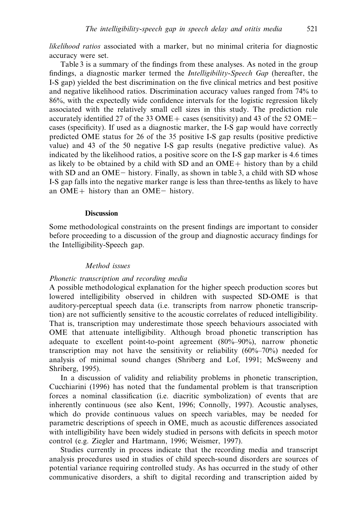likelihood ratios associated with a marker, but no minimal criteria for diagnostic accuracy were set.

Table 3 is a summary of the findings from these analyses. As noted in the group findings, a diagnostic marker termed the Intelligibility-Speech Gap (hereafter, the I-S gap) yielded the best discrimination on the five clinical metrics and best positive and negative likelihood ratios. Discrimination accuracy values ranged from 74% to 86%, with the expectedly wide confidence intervals for the logistic regression likely associated with the relatively small cell sizes in this study. The prediction rule accurately identified 27 of the 33 OME + cases (sensitivity) and 43 of the 52 OME cases (specificity). If used as a diagnostic marker, the I-S gap would have correctly predicted OME status for 26 of the 35 positive I-S gap results (positive predictive value) and 43 of the 50 negative I-S gap results (negative predictive value). As indicated by the likelihood ratios, a positive score on the I-S gap marker is 4.6 times as likely to be obtained by a child with SD and an  $OME +$  history than by a child with SD and an OME $-$  history. Finally, as shown in table 3, a child with SD whose I-S gap falls into the negative marker range is less than three-tenths as likely to have an OME $+$  history than an OME $-$  history.

## **Discussion**

Some methodological constraints on the present findings are important to consider before proceeding to a discussion of the group and diagnostic accuracy findings for the Intelligibility-Speech gap.

## Method issues

#### Phonetic transcription and recording media

A possible methodological explanation for the higher speech production scores but lowered intelligibility observed in children with suspected SD-OME is that auditory-perceptual speech data (i.e. transcripts from narrow phonetic transcription) are not sufficiently sensitive to the acoustic correlates of reduced intelligibility. That is, transcription may underestimate those speech behaviours associated with OME that attenuate intelligibility. Although broad phonetic transcription has adequate to excellent point-to-point agreement (80%–90%), narrow phonetic transcription may not have the sensitivity or reliability (60%–70%) needed for analysis of minimal sound changes (Shriberg and Lof, 1991; McSweeny and Shriberg, 1995).

In a discussion of validity and reliability problems in phonetic transcription, Cucchiarini (1996) has noted that the fundamental problem is that transcription forces a nominal classification (i.e. diacritic symbolization) of events that are inherently continuous (see also Kent, 1996; Connolly, 1997). Acoustic analyses, which do provide continuous values on speech variables, may be needed for parametric descriptions of speech in OME, much as acoustic differences associated with intelligibility have been widely studied in persons with deficits in speech motor control (e.g. Ziegler and Hartmann, 1996; Weismer, 1997).

Studies currently in process indicate that the recording media and transcript analysis procedures used in studies of child speech-sound disorders are sources of potential variance requiring controlled study. As has occurred in the study of other communicative disorders, a shift to digital recording and transcription aided by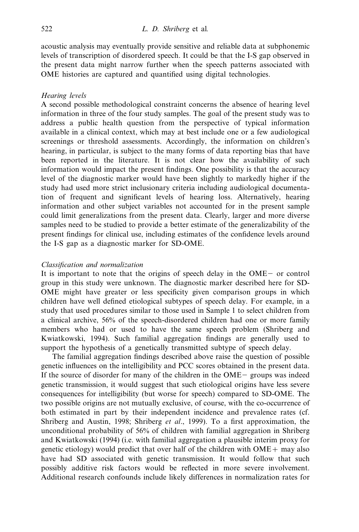acoustic analysis may eventually provide sensitive and reliable data at subphonemic levels of transcription of disordered speech. It could be that the I-S gap observed in the present data might narrow further when the speech patterns associated with OME histories are captured and quantified using digital technologies.

## Hearing levels

A second possible methodological constraint concerns the absence of hearing level information in three of the four study samples. The goal of the present study was to address a public health question from the perspective of typical information available in a clinical context, which may at best include one or a few audiological screenings or threshold assessments. Accordingly, the information on children's hearing, in particular, is subject to the many forms of data reporting bias that have been reported in the literature. It is not clear how the availability of such information would impact the present findings. One possibility is that the accuracy level of the diagnostic marker would have been slightly to markedly higher if the study had used more strict inclusionary criteria including audiological documentation of frequent and significant levels of hearing loss. Alternatively, hearing information and other subject variables not accounted for in the present sample could limit generalizations from the present data. Clearly, larger and more diverse samples need to be studied to provide a better estimate of the generalizability of the present findings for clinical use, including estimates of the confidence levels around the I-S gap as a diagnostic marker for SD-OME.

## Classification and normalization

It is important to note that the origins of speech delay in the  $OME-$  or control group in this study were unknown. The diagnostic marker described here for SD-OME might have greater or less specificity given comparison groups in which children have well defined etiological subtypes of speech delay. For example, in a study that used procedures similar to those used in Sample 1 to select children from a clinical archive, 56% of the speech-disordered children had one or more family members who had or used to have the same speech problem (Shriberg and Kwiatkowski, 1994). Such familial aggregation findings are generally used to support the hypothesis of a genetically transmitted subtype of speech delay.

The familial aggregation findings described above raise the question of possible genetic influences on the intelligibility and PCC scores obtained in the present data. If the source of disorder for many of the children in the  $OME-$  groups was indeed genetic transmission, it would suggest that such etiological origins have less severe consequences for intelligibility (but worse for speech) compared to SD-OME. The two possible origins are not mutually exclusive, of course, with the co-occurrence of both estimated in part by their independent incidence and prevalence rates (cf. Shriberg and Austin, 1998; Shriberg et al., 1999). To a first approximation, the unconditional probability of 56% of children with familial aggregation in Shriberg and Kwiatkowski (1994) (i.e. with familial aggregation a plausible interim proxy for genetic etiology) would predict that over half of the children with  $\text{OME}$  + may also have had SD associated with genetic transmission. It would follow that such possibly additive risk factors would be reflected in more severe involvement. Additional research confounds include likely differences in normalization rates for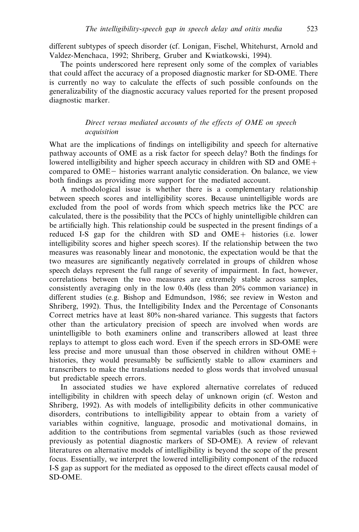different subtypes of speech disorder (cf. Lonigan, Fischel, Whitehurst, Arnold and Valdez-Menchaca, 1992; Shriberg, Gruber and Kwiatkowski, 1994).

The points underscored here represent only some of the complex of variables that could affect the accuracy of a proposed diagnostic marker for SD-OME. There is currently no way to calculate the effects of such possible confounds on the generalizability of the diagnostic accuracy values reported for the present proposed diagnostic marker.

# Direct versus mediated accounts of the effects of OME on speech acquisition

What are the implications of findings on intelligibility and speech for alternative pathway accounts of OME as a risk factor for speech delay? Both the findings for lowered intelligibility and higher speech accuracy in children with SD and  $OME+$ compared to OME- histories warrant analytic consideration. On balance, we view both findings as providing more support for the mediated account.

A methodological issue is whether there is a complementary relationship between speech scores and intelligibility scores. Because unintelligible words are excluded from the pool of words from which speech metrics like the PCC are calculated, there is the possibility that the PCCs of highly unintelligible children can be artificially high. This relationship could be suspected in the present findings of a reduced I-S gap for the children with SD and  $OME +$  histories (i.e. lower intelligibility scores and higher speech scores). If the relationship between the two measures was reasonably linear and monotonic, the expectation would be that the two measures are significantly negatively correlated in groups of children whose speech delays represent the full range of severity of impairment. In fact, however, correlations between the two measures are extremely stable across samples, consistently averaging only in the low 0.40s (less than 20% common variance) in different studies (e.g. Bishop and Edmundson, 1986; see review in Weston and Shriberg, 1992). Thus, the Intelligibility Index and the Percentage of Consonants Correct metrics have at least 80% non-shared variance. This suggests that factors other than the articulatory precision of speech are involved when words are unintelligible to both examiners online and transcribers allowed at least three replays to attempt to gloss each word. Even if the speech errors in SD-OME were less precise and more unusual than those observed in children without  $OME+$ histories, they would presumably be sufficiently stable to allow examiners and transcribers to make the translations needed to gloss words that involved unusual but predictable speech errors.

In associated studies we have explored alternative correlates of reduced intelligibility in children with speech delay of unknown origin (cf. Weston and Shriberg, 1992). As with models of intelligibility deficits in other communicative disorders, contributions to intelligibility appear to obtain from a variety of variables within cognitive, language, prosodic and motivational domains, in addition to the contributions from segmental variables (such as those reviewed previously as potential diagnostic markers of SD-OME). A review of relevant literatures on alternative models of intelligibility is beyond the scope of the present focus. Essentially, we interpret the lowered intelligibility component of the reduced I-S gap as support for the mediated as opposed to the direct effects causal model of SD-OME.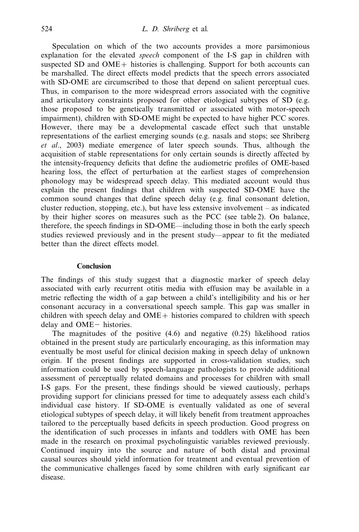Speculation on which of the two accounts provides a more parsimonious explanation for the elevated speech component of the I-S gap in children with suspected SD and OME $+$  histories is challenging. Support for both accounts can be marshalled. The direct effects model predicts that the speech errors associated with SD-OME are circumscribed to those that depend on salient perceptual cues. Thus, in comparison to the more widespread errors associated with the cognitive and articulatory constraints proposed for other etiological subtypes of SD (e.g. those proposed to be genetically transmitted or associated with motor-speech impairment), children with SD-OME might be expected to have higher PCC scores. However, there may be a developmental cascade effect such that unstable representations of the earliest emerging sounds (e.g. nasals and stops; see Shriberg et al., 2003) mediate emergence of later speech sounds. Thus, although the acquisition of stable representations for only certain sounds is directly affected by the intensity-frequency deficits that define the audiometric profiles of OME-based hearing loss, the effect of perturbation at the earliest stages of comprehension phonology may be widespread speech delay. This mediated account would thus explain the present findings that children with suspected SD-OME have the common sound changes that define speech delay (e.g. final consonant deletion, cluster reduction, stopping, etc.), but have less extensive involvement – as indicated by their higher scores on measures such as the PCC (see table 2). On balance, therefore, the speech findings in SD-OME—including those in both the early speech studies reviewed previously and in the present study—appear to fit the mediated better than the direct effects model.

## Conclusion

The findings of this study suggest that a diagnostic marker of speech delay associated with early recurrent otitis media with effusion may be available in a metric reflecting the width of a gap between a child's intelligibility and his or her consonant accuracy in a conversational speech sample. This gap was smaller in children with speech delay and  $OME +$  histories compared to children with speech delay and  $OME-$  histories.

The magnitudes of the positive (4.6) and negative (0.25) likelihood ratios obtained in the present study are particularly encouraging, as this information may eventually be most useful for clinical decision making in speech delay of unknown origin. If the present findings are supported in cross-validation studies, such information could be used by speech-language pathologists to provide additional assessment of perceptually related domains and processes for children with small I-S gaps. For the present, these findings should be viewed cautiously, perhaps providing support for clinicians pressed for time to adequately assess each child's individual case history. If SD-OME is eventually validated as one of several etiological subtypes of speech delay, it will likely benefit from treatment approaches tailored to the perceptually based deficits in speech production. Good progress on the identification of such processes in infants and toddlers with OME has been made in the research on proximal psycholinguistic variables reviewed previously. Continued inquiry into the source and nature of both distal and proximal causal sources should yield information for treatment and eventual prevention of the communicative challenges faced by some children with early significant ear disease.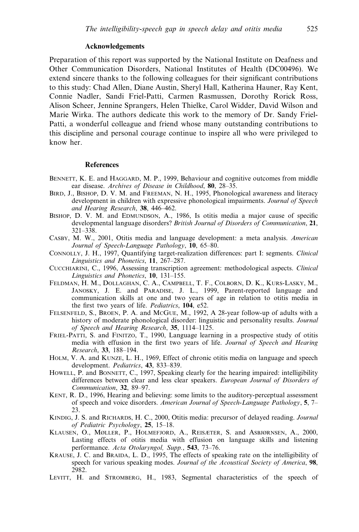## Acknowledgements

Preparation of this report was supported by the National Institute on Deafness and Other Communication Disorders, National Institutes of Health (DC00496). We extend sincere thanks to the following colleagues for their significant contributions to this study: Chad Allen, Diane Austin, Sheryl Hall, Katherina Hauner, Ray Kent, Connie Nadler, Sandi Friel-Patti, Carmen Rasmussen, Dorothy Rorick Ross, Alison Scheer, Jennine Sprangers, Helen Thielke, Carol Widder, David Wilson and Marie Wirka. The authors dedicate this work to the memory of Dr. Sandy Friel-Patti, a wonderful colleague and friend whose many outstanding contributions to this discipline and personal courage continue to inspire all who were privileged to know her.

#### **References**

- BENNETT, K. E. and HAGGARD, M. P., 1999, Behaviour and cognitive outcomes from middle ear disease. Archives of Disease in Childhood, 80, 28–35.
- BIRD, J., BISHOP, D. V. M. and FREEMAN, N. H., 1995, Phonological awareness and literacy development in children with expressive phonological impairments. Journal of Speech and Hearing Research, 38, 446–462.
- BISHOP, D. V. M. and EDMUNDSON, A., 1986, Is otitis media a major cause of specific developmental language disorders? British Journal of Disorders of Communication, 21, 321–338.
- CASBY, M. W., 2001, Otitis media and language development: a meta analysis. American Journal of Speech-Language Pathology, 10, 65-80.
- CONNOLLY, J. H., 1997, Quantifying target-realization differences: part I: segments. Clinical Linguistics and Phonetics, 11, 267–287.
- CUCCHIARINI, C., 1996, Assessing transcription agreement: methodological aspects. Clinical Linguistics and Phonetics, 10, 131–155.
- FELDMAN, H. M., DOLLAGHAN, C. A., CAMPBELL, T. F., COLBORN, D. K., KURS-LASKY, M., JANOSKY, J. E. and PARADISE, J. L., 1999, Parent-reported language and communication skills at one and two years of age in relation to otitis media in the first two years of life. *Pediatrics*, 104, e52.
- FELSENFELD, S., BROEN, P. A. and MCGUE, M., 1992, A 28-year follow-up of adults with a history of moderate phonological disorder: linguistic and personality results. Journal of Speech and Hearing Research, 35, 1114–1125.
- FRIEL-PATTI, S. and FINITZO, T., 1990, Language learning in a prospective study of otitis media with effusion in the first two years of life. Journal of Speech and Hearing Research, 33, 188–194.
- HOLM, V. A. and KUNZE, L. H., 1969, Effect of chronic otitis media on language and speech development. Pediatrics, 43, 833-839.
- HOWELL, P. and BONNETT, C., 1997, Speaking clearly for the hearing impaired: intelligibility differences between clear and less clear speakers. European Journal of Disorders of Communication, 32, 89–97.
- KENT, R. D., 1996, Hearing and believing: some limits to the auditory-perceptual assessment of speech and voice disorders. American Journal of Speech-Language Pathology, 5, 7–  $23.$
- KINDIG, J. S. and RICHARDS, H. C., 2000, Otitis media: precursor of delayed reading. Journal of Pediatric Psychology,  $25, 15-18$ .
- KLAUSEN, O., MØLLER, P., HOLMEFJORD, A., REISÆTER, S. and ASBJØRNSEN, A., 2000, Lasting effects of otitis media with effusion on language skills and listening performance. Acta Otolaryngol, Supp., 543, 73-76.
- KRAUSE, J. C. and BRAIDA, L. D., 1995, The effects of speaking rate on the intelligibility of speech for various speaking modes. Journal of the Acoustical Society of America, 98, 2982.
- LEVITT, H. and STROMBERG, H., 1983, Segmental characteristics of the speech of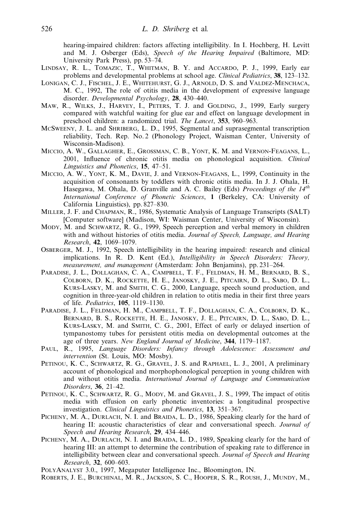hearing-impaired children: factors affecting intelligibility. In I. Hochberg, H. Levitt and M. J. Osberger (Eds), Speech of the Hearing Impaired (Baltimore, MD: University Park Press), pp. 53–74.

- LINDSAY, R. L., TOMAZIC, T., WHITMAN, B. Y. and ACCARDO, P. J., 1999, Early ear problems and developmental problems at school age. Clinical Pediatrics, 38, 123–132.
- LONIGAN, C. J., FISCHEL, J. E., WHITEHURST, G. J., ARNOLD, D. S. and VALDEZ-MENCHACA, M. C., 1992, The role of otitis media in the development of expressive language disorder. Developmental Psychology, 28, 430–440.
- MAW, R., WILKS, J., HARVEY, I., PETERS, T. J. and GOLDING, J., 1999, Early surgery compared with watchful waiting for glue ear and effect on language development in preschool children: a randomized trial. The Lancet, 353, 960-963.
- MCSWEENY, J. L. and SHRIBERG, L. D., 1995, Segmental and suprasegmental transcription reliability, Tech. Rep. No. 2 (Phonology Project, Waisman Center, University of Wisconsin-Madison).
- MICCIO, A. W., GALLAGHER, E., GROSSMAN, C. B., YONT, K. M. and VERNON-FEAGANS, L., 2001, Influence of chronic otitis media on phonological acquisition. Clinical Linguistics and Phonetics, 15, 47–51.
- MICCIO, A. W., YONT, K. M., DAVIE, J. and VERNON-FEAGANS, L., 1999, Continuity in the acquisition of consonants by toddlers with chronic otitis media. In J. J. Ohala, H. Hasegawa, M. Ohala, D. Granville and A. C. Bailey (Eds) Proceedings of the 14th International Conference of Phonetic Sciences, 1 (Berkeley, CA: University of California Linguistics), pp. 827–830.
- MILLER, J. F. and CHAPMAN, R., 1986, Systematic Analysis of Language Transcripts (SALT) [Computer software] (Madison, WI: Waisman Center, University of Wisconsin).
- MODY, M. and SCHWARTZ, R. G., 1999, Speech perception and verbal memory in children with and without histories of otitis media. Journal of Speech, Language, and Hearing Research, 42, 1069–1079.
- OSBERGER, M. J., 1992, Speech intelligibility in the hearing impaired: research and clinical implications. In R. D. Kent (Ed.), Intelligibility in Speech Disorders: Theory, measurement, and management (Amsterdam: John Benjamins), pp. 231–264.
- PARADISE, J. L., DOLLAGHAN, C. A., CAMPBELL, T. F., FELDMAN, H. M., BERNARD, B. S., COLBORN, D. K., ROCKETTE, H. E., JANOSKY, J. E., PITCAIRN, D. L., SABO, D. L., KURS-LASKY, M. and SMITH, C. G., 2000, Language, speech sound production, and cognition in three-year-old children in relation to otitis media in their first three years of life. Pediatrics, 105, 1119–1130.
- PARADISE, J. L., FELDMAN, H. M., CAMPBELL, T. F., DOLLAGHAN, C. A., COLBORN, D. K., BERNARD, B. S., ROCKETTE, H. E., JANOSKY, J. E., PITCAIRN, D. L., SABO, D. L., KURS-LASKY, M. and SMITH, C. G., 2001, Effect of early or delayed insertion of tympanostomy tubes for persistent otitis media on developmental outcomes at the age of three years. New England Journal of Medicine, 344, 1179–1187.
- PAUL, R., 1995, Language Disorders: Infancy through Adolescence: Assessment and intervention (St. Louis, MO: Mosby).
- PETINOU, K. C., SCHWARTZ, R. G., GRAVEL, J. S. and RAPHAEL, L. J., 2001, A preliminary account of phonological and morphophonological perception in young children with and without otitis media. International Journal of Language and Communication Disorders, 36, 21–42.
- PETINOU, K. C., SCHWARTZ, R. G., MODY, M. and GRAVEL, J. S., 1999, The impact of otitis media with effusion on early phonetic inventories: a longitudinal prospective investigation. Clinical Linguistics and Phonetics, 13, 351–367.
- PICHENY, M. A., DURLACH, N. I. and BRAIDA, L. D., 1986, Speaking clearly for the hard of hearing II: acoustic characteristics of clear and conversational speech. Journal of Speech and Hearing Research, 29, 434-446.
- PICHENY, M. A., DURLACH, N. I. and BRAIDA, L. D., 1989, Speaking clearly for the hard of hearing III: an attempt to determine the contribution of speaking rate to difference in intelligibility between clear and conversational speech. Journal of Speech and Hearing Research, 32, 600–603.

POLYANALYST 3.0., 1997, Megaputer Intelligence Inc., Bloomington, IN.

ROBERTS, J. E., BURCHINAL, M. R., JACKSON, S. C., HOOPER, S. R., ROUSH, J., MUNDY, M.,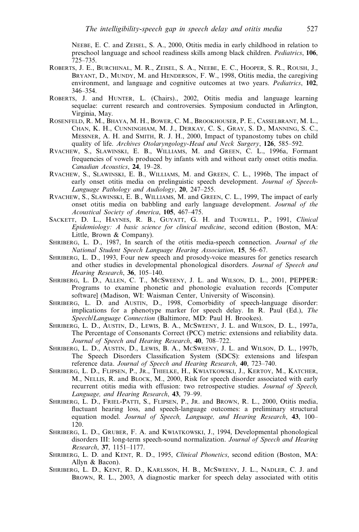NEEBE, E. C. and ZEISEL, S. A., 2000, Otitis media in early childhood in relation to preschool language and school readiness skills among black children. Pediatrics, 106,  $725 - 735$ .

- ROBERTS, J. E., BURCHINAL, M. R., ZEISEL, S. A., NEEBE, E. C., HOOPER, S. R., ROUSH, J., BRYANT, D., MUNDY, M. and HENDERSON, F. W., 1998, Otitis media, the caregiving environment, and language and cognitive outcomes at two years. *Pediatrics*, 102, 346–354.
- ROBERTS, J. and HUNTER, L. (Chairs)., 2002, Otitis media and language learning sequelae: current research and controversies. Symposium conducted in Arlington, Virginia, May.
- ROSENFELD, R. M., BHAYA, M. H., BOWER, C. M., BROOKHOUSER, P. E., CASSELBRANT, M. L., CHAN, K. H., CUNNINGHAM, M. J., DERKAY, C. S., GRAY, S. D., MANNING, S. C., MESSNER, A. H. and SMITH, R. J. H., 2000, Impact of typanostomy tubes on child quality of life. Archives Otolaryngology-Head and Neck Surgery, 126, 585–592.
- RVACHEW, S., SLAWINSKI, E. B., WILLIAMS, M. and GREEN, C. L., 1996a, Formant frequencies of vowels produced by infants with and without early onset otitis media. Canadian Acoustics, 24, 19–28.
- RVACHEW, S., SLAWINSKI, E. B., WILLIAMS, M. and GREEN, C. L., 1996b, The impact of early onset otitis media on prelinguistic speech development. Journal of Speech-Language Pathology and Audiology,  $20$ ,  $247-255$ .
- RVACHEW, S., SLAWINSKI, E. B., WILLIAMS, M. and GREEN, C. L., 1999, The impact of early onset otitis media on babbling and early language development. Journal of the Acoustical Society of America, 105, 467-475.
- SACKETT, D. L., HAYNES, R. B., GUYATT, G. H. and TUGWELL, P., 1991, Clinical Epidemiology: A basic science for clinical medicine, second edition (Boston, MA: Little, Brown & Company).
- SHRIBERG, L. D., 1987, In search of the otitis media-speech connection. Journal of the National Student Speech Language Hearing Association, 15, 56–67.
- SHRIBERG, L. D., 1993, Four new speech and prosody-voice measures for genetics research and other studies in developmental phonological disorders. Journal of Speech and Hearing Research, 36, 105–140.
- SHRIBERG, L. D., ALLEN, C. T., MCSWEENY, J. L. and WILSON, D. L., 2001, PEPPER: Programs to examine phonetic and phonologic evaluation records [Computer software] (Madison, WI: Waisman Center, University of Wisconsin).
- SHRIBERG, L. D. and AUSTIN, D., 1998, Comorbidity of speech-language disorder: implications for a phenotype marker for speech delay. In R. Paul (Ed.), The Speech/Language Connection (Baltimore, MD: Paul H. Brookes).
- SHRIBERG, L. D., AUSTIN, D., LEWIS, B. A., MCSWEENY, J. L. and WILSON, D. L., 1997a, The Percentage of Consonants Correct (PCC) metric: extensions and reliability data. Journal of Speech and Hearing Research, 40, 708–722.
- SHRIBERG, L. D., AUSTIN, D., LEWIS, B. A., MCSWEENY, J. L. and WILSON, D. L., 1997b, The Speech Disorders Classification System (SDCS): extensions and lifespan reference data. Journal of Speech and Hearing Research, 40, 723–740.
- SHRIBERG, L. D., FLIPSEN, P., JR., THIELKE, H., KWIATKOWSKI, J., KERTOY, M., KATCHER, M., NELLIS, R. and BLOCK, M., 2000, Risk for speech disorder associated with early recurrent otitis media with effusion: two retrospective studies. Journal of Speech, Language, and Hearing Research, 43, 79-99.
- SHRIBERG, L. D., FRIEL-PATTI, S., FLIPSEN, P., JR. and BROWN, R. L., 2000, Otitis media, fluctuant hearing loss, and speech-language outcomes: a preliminary structural equation model. Journal of Speech, Language, and Hearing Research, 43, 100– 120.
- SHRIBERG, L. D., GRUBER, F. A. and KWIATKOWSKI, J., 1994, Developmental phonological disorders III: long-term speech-sound normalization. Journal of Speech and Hearing Research, 37, 1151–1177.
- SHRIBERG, L. D. and KENT, R. D., 1995, Clinical Phonetics, second edition (Boston, MA: Allyn & Bacon).
- SHRIBERG, L. D., KENT, R. D., KARLSSON, H. B., MCSWEENY, J. L., NADLER, C. J. and BROWN, R. L., 2003, A diagnostic marker for speech delay associated with otitis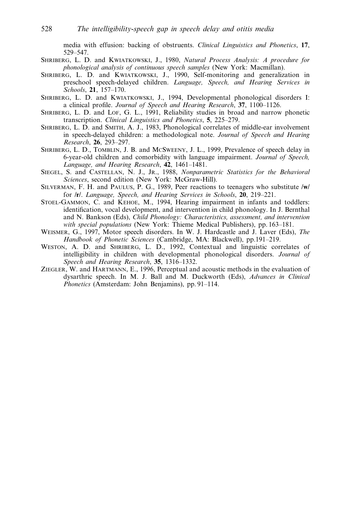media with effusion: backing of obstruents. Clinical Linguistics and Phonetics, 17, 529–547.

- SHRIBERG, L. D. and KWIATKOWSKI, J., 1980, Natural Process Analysis: A procedure for phonological analysis of continuous speech samples (New York: Macmillan).
- SHRIBERG, L. D. and KWIATKOWSKI, J., 1990, Self-monitoring and generalization in preschool speech-delayed children. Language, Speech, and Hearing Services in Schools, 21, 157–170.
- SHRIBERG, L. D. and KWIATKOWSKI, J., 1994, Developmental phonological disorders I: a clinical profile. Journal of Speech and Hearing Research, 37, 1100–1126.
- SHRIBERG, L. D. and LOF, G. L., 1991, Reliability studies in broad and narrow phonetic transcription. Clinical Linguistics and Phonetics, 5, 225–279.
- SHRIBERG, L. D. and SMITH, A. J., 1983, Phonological correlates of middle-ear involvement in speech-delayed children: a methodological note. Journal of Speech and Hearing Research, 26, 293–297.
- SHRIBERG, L. D., TOMBLIN, J. B. and MCSWEENY, J. L., 1999, Prevalence of speech delay in 6-year-old children and comorbidity with language impairment. Journal of Speech, Language, and Hearing Research, 42, 1461–1481.
- SIEGEL, S. and CASTELLAN, N. J., JR., 1988, Nonparametric Statistics for the Behavioral Sciences, second edition (New York: McGraw-Hill).
- SILVERMAN, F. H. and PAULUS, P. G., 1989, Peer reactions to teenagers who substitute /w/ for /r/. Language, Speech, and Hearing Services in Schools, 20, 219–221.
- STOEL-GAMMON, C. and KEHOE, M., 1994, Hearing impairment in infants and toddlers: identification, vocal development, and intervention in child phonology. In J. Bernthal and N. Bankson (Eds), Child Phonology: Characteristics, assessment, and intervention with special populations (New York: Thieme Medical Publishers), pp. 163-181.
- WEISMER, G., 1997, Motor speech disorders. In W. J. Hardcastle and J. Laver (Eds), The Handbook of Phonetic Sciences (Cambridge, MA: Blackwell), pp.191–219.
- WESTON, A. D. and SHRIBERG, L. D., 1992, Contextual and linguistic correlates of intelligibility in children with developmental phonological disorders. Journal of Speech and Hearing Research, 35, 1316-1332.
- ZIEGLER, W. and HARTMANN, E., 1996, Perceptual and acoustic methods in the evaluation of dysarthric speech. In M. J. Ball and M. Duckworth (Eds), Advances in Clinical Phonetics (Amsterdam: John Benjamins), pp. 91–114.